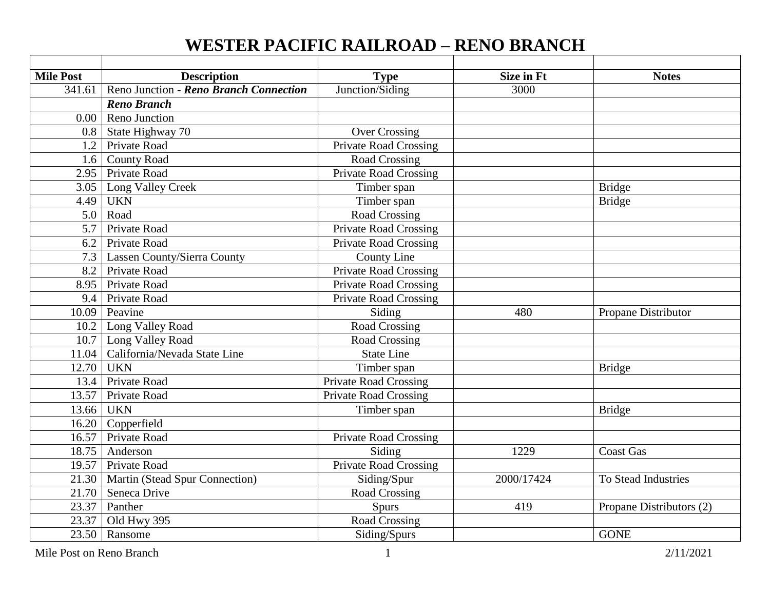## **WESTER PACIFIC RAILROAD – RENO BRANCH**

| <b>Mile Post</b> | <b>Description</b>                     | <b>Type</b>                  | <b>Size in Ft</b> | <b>Notes</b>             |
|------------------|----------------------------------------|------------------------------|-------------------|--------------------------|
| 341.61           | Reno Junction - Reno Branch Connection | Junction/Siding              | 3000              |                          |
|                  | <b>Reno Branch</b>                     |                              |                   |                          |
| 0.00             | Reno Junction                          |                              |                   |                          |
|                  | 0.8   State Highway 70                 | <b>Over Crossing</b>         |                   |                          |
| 1.2              | <b>Private Road</b>                    | <b>Private Road Crossing</b> |                   |                          |
| 1.6              | <b>County Road</b>                     | Road Crossing                |                   |                          |
| 2.95             | <b>Private Road</b>                    | <b>Private Road Crossing</b> |                   |                          |
|                  | 3.05   Long Valley Creek               | Timber span                  |                   | <b>Bridge</b>            |
| 4.49             | <b>UKN</b>                             | Timber span                  |                   | <b>Bridge</b>            |
| 5.0              | Road                                   | Road Crossing                |                   |                          |
| 5.7              | Private Road                           | <b>Private Road Crossing</b> |                   |                          |
| 6.2              | Private Road                           | <b>Private Road Crossing</b> |                   |                          |
|                  | 7.3   Lassen County/Sierra County      | County Line                  |                   |                          |
|                  | 8.2 Private Road                       | <b>Private Road Crossing</b> |                   |                          |
| $8.95$ ]         | <b>Private Road</b>                    | <b>Private Road Crossing</b> |                   |                          |
| 9.4              | Private Road                           | <b>Private Road Crossing</b> |                   |                          |
| 10.09            | Peavine                                | Siding                       | 480               | Propane Distributor      |
|                  | 10.2 Long Valley Road                  | Road Crossing                |                   |                          |
|                  | 10.7 Long Valley Road                  | <b>Road Crossing</b>         |                   |                          |
| 11.04            | California/Nevada State Line           | <b>State Line</b>            |                   |                          |
| 12.70            | <b>UKN</b>                             | Timber span                  |                   | <b>Bridge</b>            |
| 13.4             | <b>Private Road</b>                    | <b>Private Road Crossing</b> |                   |                          |
| 13.57            | Private Road                           | <b>Private Road Crossing</b> |                   |                          |
| 13.66            | <b>UKN</b>                             | Timber span                  |                   | <b>Bridge</b>            |
|                  | 16.20 Copperfield                      |                              |                   |                          |
|                  | 16.57 Private Road                     | <b>Private Road Crossing</b> |                   |                          |
| 18.75            | Anderson                               | Siding                       | 1229              | <b>Coast Gas</b>         |
| 19.57            | <b>Private Road</b>                    | Private Road Crossing        |                   |                          |
|                  | 21.30   Martin (Stead Spur Connection) | Siding/Spur                  | 2000/17424        | To Stead Industries      |
| 21.70            | Seneca Drive                           | Road Crossing                |                   |                          |
| 23.37            | Panther                                | Spurs                        | 419               | Propane Distributors (2) |
| 23.37            | Old Hwy 395                            | Road Crossing                |                   |                          |
|                  | $\overline{23.50}$ Ransome             | Siding/Spurs                 |                   | <b>GONE</b>              |